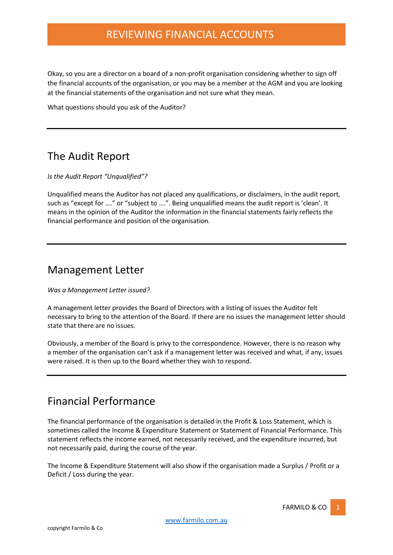## REVIEWING FINANCIAL ACCOUNTS

Okay, so you are a director on a board of a non-profit organisation considering whether to sign off the financial accounts of the organisation, or you may be a member at the AGM and you are looking at the financial statements of the organisation and not sure what they mean.

What questions should you ask of the Auditor?

## The Audit Report

*Is the Audit Report "Unqualified"?*

Unqualified means the Auditor has not placed any qualifications, or disclaimers, in the audit report, such as "except for …." or "subject to ….". Being unqualified means the audit report is 'clean'. It means in the opinion of the Auditor the information in the financial statements fairly reflects the financial performance and position of the organisation.

### Management Letter

*Was a Management Letter issued?*

A management letter provides the Board of Directors with a listing of issues the Auditor felt necessary to bring to the attention of the Board. If there are no issues the management letter should state that there are no issues.

Obviously, a member of the Board is privy to the correspondence. However, there is no reason why a member of the organisation can't ask if a management letter was received and what, if any, issues were raised. It is then up to the Board whether they wish to respond.

### Financial Performance

The financial performance of the organisation is detailed in the Profit & Loss Statement, which is sometimes called the Income & Expenditure Statement or Statement of Financial Performance. This statement reflects the income earned, not necessarily received, and the expenditure incurred, but not necessarily paid, during the course of the year.

The Income & Expenditure Statement will also show if the organisation made a Surplus / Profit or a Deficit / Loss during the year.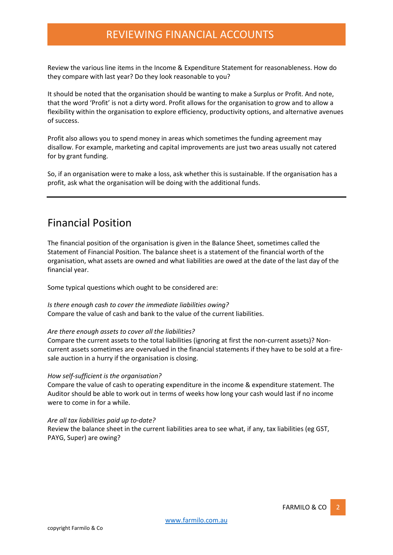## REVIEWING FINANCIAL ACCOUNTS

Review the various line items in the Income & Expenditure Statement for reasonableness. How do they compare with last year? Do they look reasonable to you?

It should be noted that the organisation should be wanting to make a Surplus or Profit. And note, that the word 'Profit' is not a dirty word. Profit allows for the organisation to grow and to allow a flexibility within the organisation to explore efficiency, productivity options, and alternative avenues of success.

Profit also allows you to spend money in areas which sometimes the funding agreement may disallow. For example, marketing and capital improvements are just two areas usually not catered for by grant funding.

So, if an organisation were to make a loss, ask whether this is sustainable. If the organisation has a profit, ask what the organisation will be doing with the additional funds.

### Financial Position

The financial position of the organisation is given in the Balance Sheet, sometimes called the Statement of Financial Position. The balance sheet is a statement of the financial worth of the organisation, what assets are owned and what liabilities are owed at the date of the last day of the financial year.

Some typical questions which ought to be considered are:

*Is there enough cash to cover the immediate liabilities owing?* Compare the value of cash and bank to the value of the current liabilities.

#### *Are there enough assets to cover all the liabilities?*

Compare the current assets to the total liabilities (ignoring at first the non-current assets)? Noncurrent assets sometimes are overvalued in the financial statements if they have to be sold at a firesale auction in a hurry if the organisation is closing.

#### *How self-sufficient is the organisation?*

Compare the value of cash to operating expenditure in the income & expenditure statement. The Auditor should be able to work out in terms of weeks how long your cash would last if no income were to come in for a while.

#### *Are all tax liabilities paid up to-date?*

Review the balance sheet in the current liabilities area to see what, if any, tax liabilities (eg GST, PAYG, Super) are owing?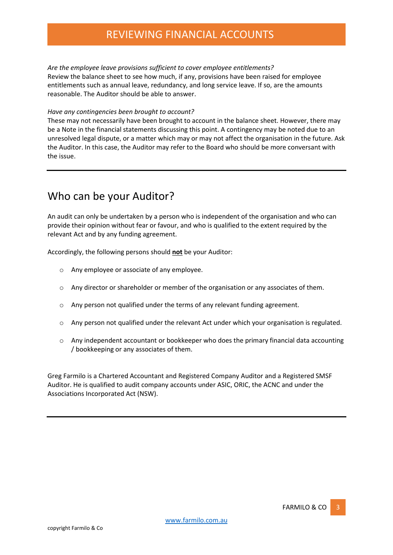## REVIEWING FINANCIAL ACCOUNTS

*Are the employee leave provisions sufficient to cover employee entitlements?* Review the balance sheet to see how much, if any, provisions have been raised for employee entitlements such as annual leave, redundancy, and long service leave. If so, are the amounts reasonable. The Auditor should be able to answer.

#### *Have any contingencies been brought to account?*

These may not necessarily have been brought to account in the balance sheet. However, there may be a Note in the financial statements discussing this point. A contingency may be noted due to an unresolved legal dispute, or a matter which may or may not affect the organisation in the future. Ask the Auditor. In this case, the Auditor may refer to the Board who should be more conversant with the issue.

### Who can be your Auditor?

An audit can only be undertaken by a person who is independent of the organisation and who can provide their opinion without fear or favour, and who is qualified to the extent required by the relevant Act and by any funding agreement.

Accordingly, the following persons should **not** be your Auditor:

- o Any employee or associate of any employee.
- o Any director or shareholder or member of the organisation or any associates of them.
- o Any person not qualified under the terms of any relevant funding agreement.
- $\circ$  Any person not qualified under the relevant Act under which your organisation is regulated.
- o Any independent accountant or bookkeeper who does the primary financial data accounting / bookkeeping or any associates of them.

Greg Farmilo is a Chartered Accountant and Registered Company Auditor and a Registered SMSF Auditor. He is qualified to audit company accounts under ASIC, ORIC, the ACNC and under the Associations Incorporated Act (NSW).